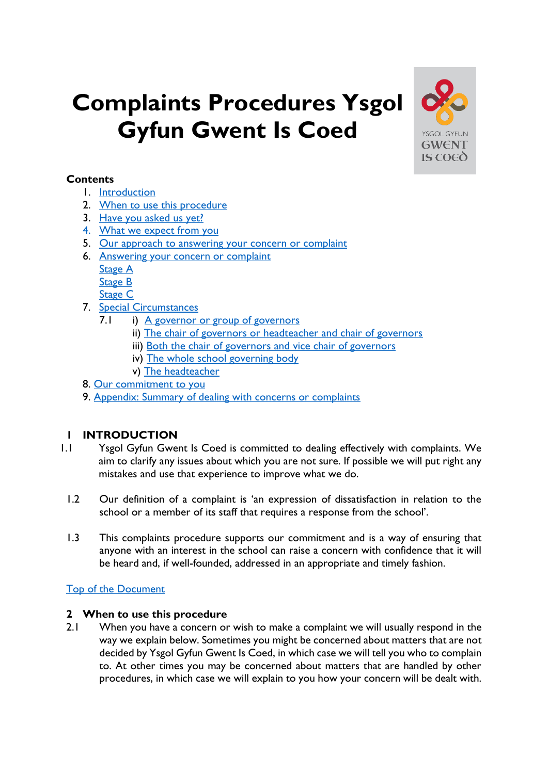# <span id="page-0-3"></span>**Complaints Procedures Ysgol Gyfun Gwent Is Coed**



# **Contents**

- 1. [Introduction](#page-0-0)
- 2. [When to use this procedure](#page-0-1)
- 3. [Have you asked us yet?](#page-1-0)
- 4. [What we expect from you](#page-1-1)
- 5. [Our approach to answering your concern or complaint](#page-1-2)
- <span id="page-0-2"></span>6. [Answering your concern or complaint](#page-2-0)
	- [Stage A](#page-0-2)
	- [Stage B](#page-2-1)
	- [Stage C](#page-3-0)
- 7. [Special Circumstances](#page-4-0)
	- 7.1 i) [A governor or group of governors](#page-4-1)
		- ii) [The chair of governors or headteacher and chair of governors](#page-4-2)
		- iii) [Both the chair of governors and vice chair of governors](#page-4-3)
		- iv) The whole [school governing body](#page-4-4)
		- v) [The headteacher](#page-4-5)
- 8. [Our commitment to you](#page-1-2)
- 9. [Appendix: Summary of dealing with concerns or complaints](#page-6-0)

# <span id="page-0-0"></span>**1 INTRODUCTION**

- 1.1 Ysgol Gyfun Gwent Is Coed is committed to dealing effectively with complaints. We aim to clarify any issues about which you are not sure. If possible we will put right any mistakes and use that experience to improve what we do.
	- 1.2 Our definition of a complaint is 'an expression of dissatisfaction in relation to the school or a member of its staff that requires a response from the school'.
	- 1.3 This complaints procedure supports our commitment and is a way of ensuring that anyone with an interest in the school can raise a concern with confidence that it will be heard and, if well-founded, addressed in an appropriate and timely fashion.

# [Top of the Document](#page-0-3)

# <span id="page-0-1"></span>**2 When to use this procedure**

2.1 When you have a concern or wish to make a complaint we will usually respond in the way we explain below. Sometimes you might be concerned about matters that are not decided by Ysgol Gyfun Gwent Is Coed, in which case we will tell you who to complain to. At other times you may be concerned about matters that are handled by other procedures, in which case we will explain to you how your concern will be dealt with.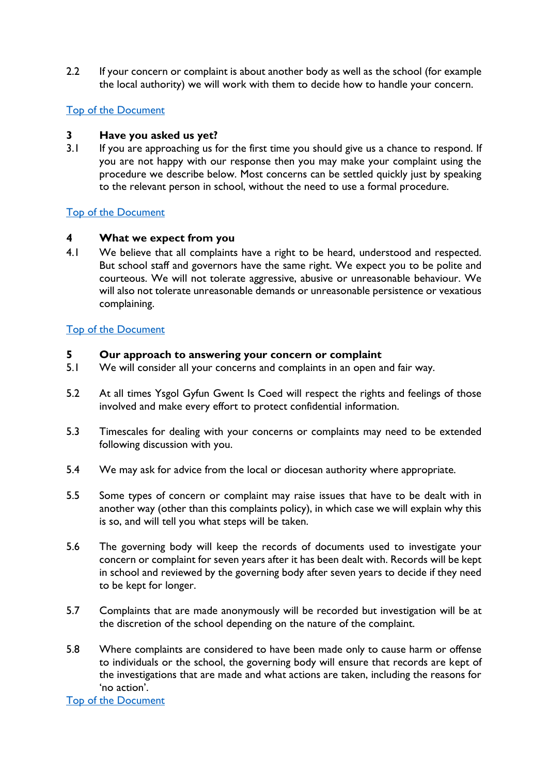2.2 If your concern or complaint is about another body as well as the school (for example the local authority) we will work with them to decide how to handle your concern.

# [Top of the Document](#page-0-3)

# <span id="page-1-0"></span>**3 Have you asked us yet?**

3.1 If you are approaching us for the first time you should give us a chance to respond. If you are not happy with our response then you may make your complaint using the procedure we describe below. Most concerns can be settled quickly just by speaking to the relevant person in school, without the need to use a formal procedure.

# [Top of the Document](#page-0-3)

# <span id="page-1-1"></span>**4 What we expect from you**

4.1 We believe that all complaints have a right to be heard, understood and respected. But school staff and governors have the same right. We expect you to be polite and courteous. We will not tolerate aggressive, abusive or unreasonable behaviour. We will also not tolerate unreasonable demands or unreasonable persistence or vexatious complaining.

# [Top of the Document](#page-0-3)

## <span id="page-1-2"></span>**5 Our approach to answering your concern or complaint**

- 5.1 We will consider all your concerns and complaints in an open and fair way.
- 5.2 At all times Ysgol Gyfun Gwent Is Coed will respect the rights and feelings of those involved and make every effort to protect confidential information.
- 5.3 Timescales for dealing with your concerns or complaints may need to be extended following discussion with you.
- 5.4 We may ask for advice from the local or diocesan authority where appropriate.
- 5.5 Some types of concern or complaint may raise issues that have to be dealt with in another way (other than this complaints policy), in which case we will explain why this is so, and will tell you what steps will be taken.
- 5.6 The governing body will keep the records of documents used to investigate your concern or complaint for seven years after it has been dealt with. Records will be kept in school and reviewed by the governing body after seven years to decide if they need to be kept for longer.
- 5.7 Complaints that are made anonymously will be recorded but investigation will be at the discretion of the school depending on the nature of the complaint.
- 5.8 Where complaints are considered to have been made only to cause harm or offense to individuals or the school, the governing body will ensure that records are kept of the investigations that are made and what actions are taken, including the reasons for 'no action'.

[Top of the Document](#page-0-3)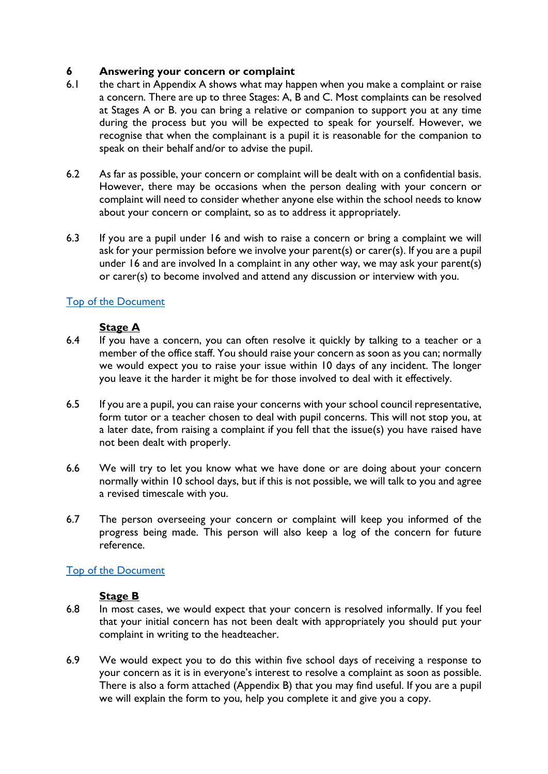# <span id="page-2-0"></span>**6 Answering your concern or complaint**

- 6.1 the chart in Appendix A shows what may happen when you make a complaint or raise a concern. There are up to three Stages: A, B and C. Most complaints can be resolved at Stages A or B. you can bring a relative or companion to support you at any time during the process but you will be expected to speak for yourself. However, we recognise that when the complainant is a pupil it is reasonable for the companion to speak on their behalf and/or to advise the pupil.
- 6.2 As far as possible, your concern or complaint will be dealt with on a confidential basis. However, there may be occasions when the person dealing with your concern or complaint will need to consider whether anyone else within the school needs to know about your concern or complaint, so as to address it appropriately.
- 6.3 If you are a pupil under 16 and wish to raise a concern or bring a complaint we will ask for your permission before we involve your parent(s) or carer(s). If you are a pupil under 16 and are involved In a complaint in any other way, we may ask your parent(s) or carer(s) to become involved and attend any discussion or interview with you.

# [Top of the Document](#page-0-3)

# **Stage A**

- 6.4 If you have a concern, you can often resolve it quickly by talking to a teacher or a member of the office staff. You should raise your concern as soon as you can; normally we would expect you to raise your issue within 10 days of any incident. The longer you leave it the harder it might be for those involved to deal with it effectively.
- 6.5 If you are a pupil, you can raise your concerns with your school council representative, form tutor or a teacher chosen to deal with pupil concerns. This will not stop you, at a later date, from raising a complaint if you fell that the issue(s) you have raised have not been dealt with properly.
- 6.6 We will try to let you know what we have done or are doing about your concern normally within 10 school days, but if this is not possible, we will talk to you and agree a revised timescale with you.
- 6.7 The person overseeing your concern or complaint will keep you informed of the progress being made. This person will also keep a log of the concern for future reference.

# [Top of the Document](#page-0-3)

#### <span id="page-2-1"></span>**Stage B**

- 6.8 In most cases, we would expect that your concern is resolved informally. If you feel that your initial concern has not been dealt with appropriately you should put your complaint in writing to the headteacher.
- 6.9 We would expect you to do this within five school days of receiving a response to your concern as it is in everyone's interest to resolve a complaint as soon as possible. There is also a form attached (Appendix B) that you may find useful. If you are a pupil we will explain the form to you, help you complete it and give you a copy.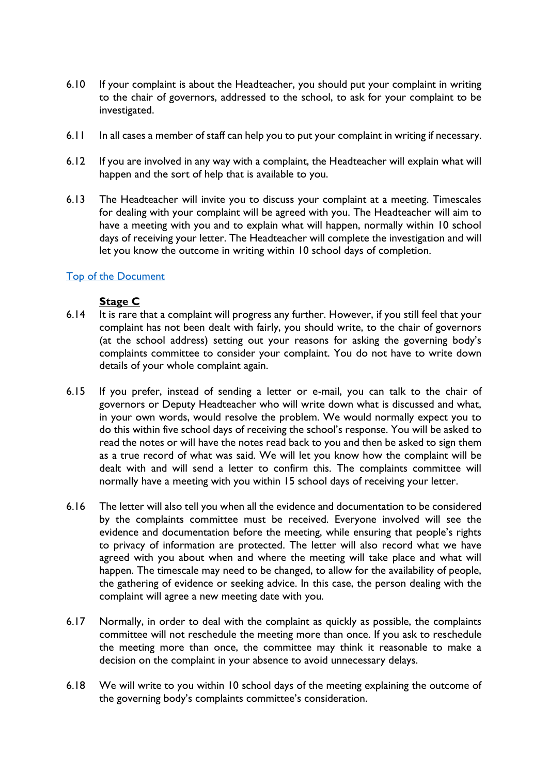- 6.10 If your complaint is about the Headteacher, you should put your complaint in writing to the chair of governors, addressed to the school, to ask for your complaint to be investigated.
- 6.11 In all cases a member of staff can help you to put your complaint in writing if necessary.
- 6.12 If you are involved in any way with a complaint, the Headteacher will explain what will happen and the sort of help that is available to you.
- 6.13 The Headteacher will invite you to discuss your complaint at a meeting. Timescales for dealing with your complaint will be agreed with you. The Headteacher will aim to have a meeting with you and to explain what will happen, normally within 10 school days of receiving your letter. The Headteacher will complete the investigation and will let you know the outcome in writing within 10 school days of completion.

# [Top of the Document](#page-0-3)

## <span id="page-3-0"></span>**Stage C**

- 6.14 It is rare that a complaint will progress any further. However, if you still feel that your complaint has not been dealt with fairly, you should write, to the chair of governors (at the school address) setting out your reasons for asking the governing body's complaints committee to consider your complaint. You do not have to write down details of your whole complaint again.
- 6.15 If you prefer, instead of sending a letter or e-mail, you can talk to the chair of governors or Deputy Headteacher who will write down what is discussed and what, in your own words, would resolve the problem. We would normally expect you to do this within five school days of receiving the school's response. You will be asked to read the notes or will have the notes read back to you and then be asked to sign them as a true record of what was said. We will let you know how the complaint will be dealt with and will send a letter to confirm this. The complaints committee will normally have a meeting with you within 15 school days of receiving your letter.
- 6.16 The letter will also tell you when all the evidence and documentation to be considered by the complaints committee must be received. Everyone involved will see the evidence and documentation before the meeting, while ensuring that people's rights to privacy of information are protected. The letter will also record what we have agreed with you about when and where the meeting will take place and what will happen. The timescale may need to be changed, to allow for the availability of people, the gathering of evidence or seeking advice. In this case, the person dealing with the complaint will agree a new meeting date with you.
- 6.17 Normally, in order to deal with the complaint as quickly as possible, the complaints committee will not reschedule the meeting more than once. If you ask to reschedule the meeting more than once, the committee may think it reasonable to make a decision on the complaint in your absence to avoid unnecessary delays.
- 6.18 We will write to you within 10 school days of the meeting explaining the outcome of the governing body's complaints committee's consideration.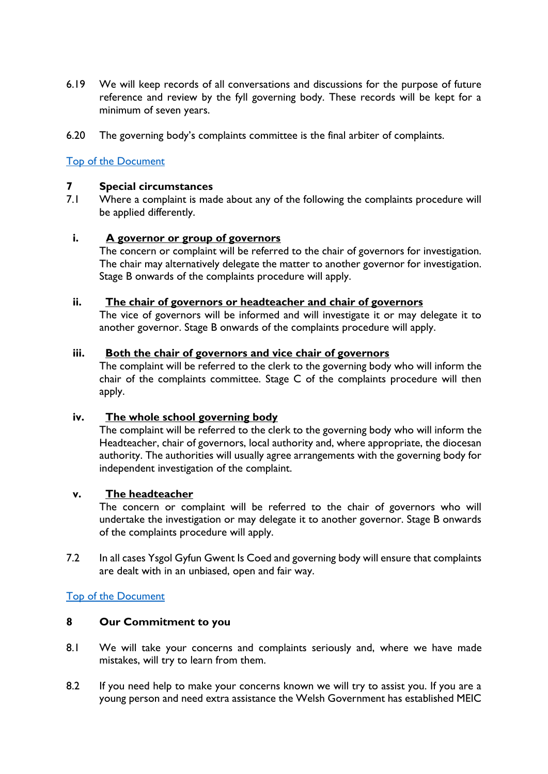- 6.19 We will keep records of all conversations and discussions for the purpose of future reference and review by the fyll governing body. These records will be kept for a minimum of seven years.
- 6.20 The governing body's complaints committee is the final arbiter of complaints.

## [Top of the Document](#page-0-3)

#### <span id="page-4-0"></span>**7 Special circumstances**

7.1 Where a complaint is made about any of the following the complaints procedure will be applied differently.

#### <span id="page-4-1"></span>**i. A governor or group of governors**

The concern or complaint will be referred to the chair of governors for investigation. The chair may alternatively delegate the matter to another governor for investigation. Stage B onwards of the complaints procedure will apply.

## <span id="page-4-2"></span>**ii. The chair of governors or headteacher and chair of governors**

The vice of governors will be informed and will investigate it or may delegate it to another governor. Stage B onwards of the complaints procedure will apply.

#### <span id="page-4-3"></span>**iii. Both the chair of governors and vice chair of governors**

The complaint will be referred to the clerk to the governing body who will inform the chair of the complaints committee. Stage C of the complaints procedure will then apply.

## <span id="page-4-4"></span>**iv. The whole school governing body**

The complaint will be referred to the clerk to the governing body who will inform the Headteacher, chair of governors, local authority and, where appropriate, the diocesan authority. The authorities will usually agree arrangements with the governing body for independent investigation of the complaint.

#### <span id="page-4-5"></span>**v. The headteacher**

The concern or complaint will be referred to the chair of governors who will undertake the investigation or may delegate it to another governor. Stage B onwards of the complaints procedure will apply.

7.2 In all cases Ysgol Gyfun Gwent Is Coed and governing body will ensure that complaints are dealt with in an unbiased, open and fair way.

#### [Top of the Document](#page-0-3)

#### **8 Our Commitment to you**

- 8.1 We will take your concerns and complaints seriously and, where we have made mistakes, will try to learn from them.
- 8.2 If you need help to make your concerns known we will try to assist you. If you are a young person and need extra assistance the Welsh Government has established MEIC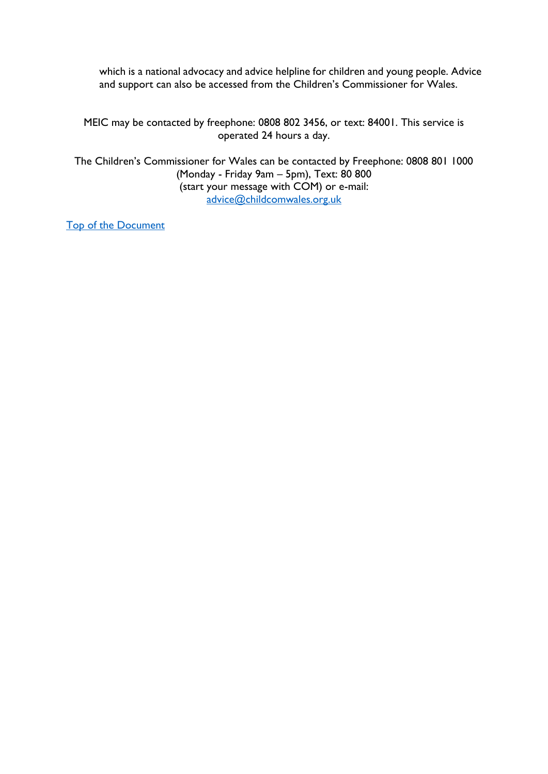which is a national advocacy and advice helpline for children and young people. Advice and support can also be accessed from the Children's Commissioner for Wales.

MEIC may be contacted by freephone: 0808 802 3456, or text: 84001. This service is operated 24 hours a day.

The Children's Commissioner for Wales can be contacted by Freephone: 0808 801 1000 (Monday - Friday 9am – 5pm), Text: 80 800 (start your message with COM) or e-mail: [advice@childcomwales.org.uk](mailto:advice@childcomwales.org.uk)

[Top of the Document](#page-0-3)